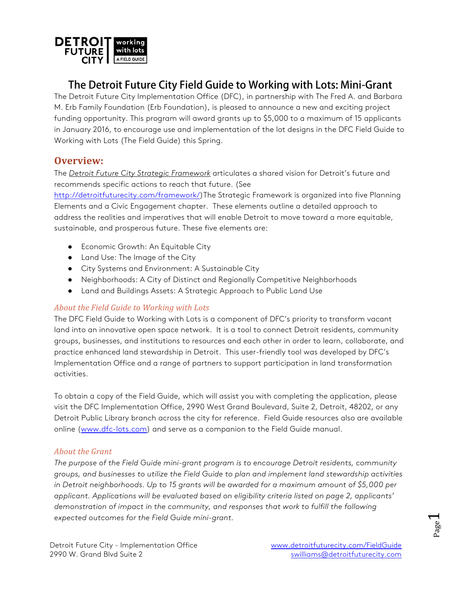

## The Detroit Future City Field Guide to Working with Lots: Mini-Grant

The Detroit Future City Implementation Office (DFC), in partnership with The Fred A. and Barbara M. Erb Family Foundation (Erb Foundation), is pleased to announce a new and exciting project funding opportunity. This program will award grants up to \$5,000 to a maximum of 15 applicants in January 2016, to encourage use and implementation of the lot designs in the DFC Field Guide to Working with Lots (The Field Guide) this Spring.

### **Overview:**

The *Detroit Future City Strategic Framework* articulates a shared vision for Detroit's future and recommends specific actions to reach that future. (See

http://detroitfuturecity.com/framework/)The Strategic Framework is organized into five Planning Elements and a Civic Engagement chapter. These elements outline a detailed approach to address the realities and imperatives that will enable Detroit to move toward a more equitable, sustainable, and prosperous future. These five elements are:

- Economic Growth: An Equitable City
- Land Use: The Image of the City
- City Systems and Environment: A Sustainable City
- Neighborhoods: A City of Distinct and Regionally Competitive Neighborhoods
- Land and Buildings Assets: A Strategic Approach to Public Land Use

#### About the Field Guide to Working with Lots

The DFC Field Guide to Working with Lots is a component of DFC's priority to transform vacant land into an innovative open space network. It is a tool to connect Detroit residents, community groups, businesses, and institutions to resources and each other in order to learn, collaborate, and practice enhanced land stewardship in Detroit. This user-friendly tool was developed by DFC's Implementation Office and a range of partners to support participation in land transformation activities.

To obtain a copy of the Field Guide, which will assist you with completing the application, please visit the DFC Implementation Office, 2990 West Grand Boulevard, Suite 2, Detroit, 48202, or any Detroit Public Library branch across the city for reference. Field Guide resources also are available online (www.dfc-lots.com) and serve as a companion to the Field Guide manual.

#### *About the Grant*

*The purpose of the Field Guide mini-grant program is to encourage Detroit residents, community groups, and businesses to utilize the Field Guide to plan and implement land stewardship activities in Detroit neighborhoods. Up to 15 grants will be awarded for a maximum amount of \$5,000 per applicant. Applications will be evaluated based on eligibility criteria listed on page 2, applicants' demonstration of impact in the community, and responses that work to fulfill the following expected outcomes for the Field Guide mini-grant.*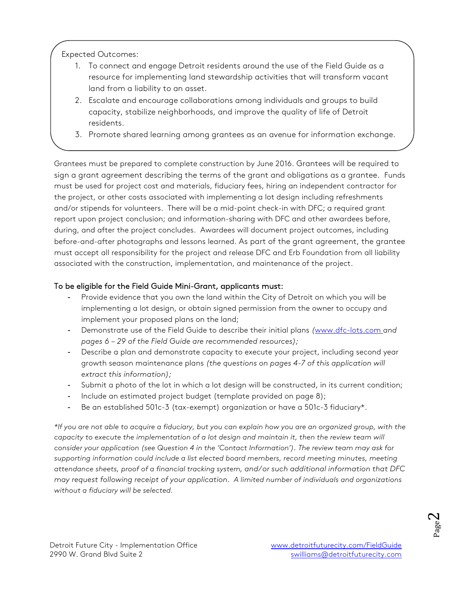Expected Outcomes:

- 1. To connect and engage Detroit residents around the use of the Field Guide as a resource for implementing land stewardship activities that will transform vacant land from a liability to an asset.
- 2. Escalate and encourage collaborations among individuals and groups to build capacity, stabilize neighborhoods, and improve the quality of life of Detroit residents.
- 3. Promote shared learning among grantees as an avenue for information exchange.

Grantees must be prepared to complete construction by June 2016. Grantees will be required to sign a grant agreement describing the terms of the grant and obligations as a grantee. Funds must be used for project cost and materials, fiduciary fees, hiring an independent contractor for the project, or other costs associated with implementing a lot design including refreshments and/or stipends for volunteers. There will be a mid-point check-in with DFC; a required grant report upon project conclusion; and information-sharing with DFC and other awardees before, during, and after the project concludes. Awardees will document project outcomes, including before-and-after photographs and lessons learned. As part of the grant agreement, the grantee must accept all responsibility for the project and release DFC and Erb Foundation from all liability associated with the construction, implementation, and maintenance of the project.

#### To be eligible for the Field Guide Mini-Grant, applicants must:

- Provide evidence that you own the land within the City of Detroit on which you will be implementing a lot design, or obtain signed permission from the owner to occupy and implement your proposed plans on the land;
- Demonstrate use of the Field Guide to describe their initial plans *(*www.dfc-lots.com *and pages 6 – 29 of the Field Guide are recommended resources);*
- Describe a plan and demonstrate capacity to execute your project, including second year growth season maintenance plans *(the questions on pages 4-7 of this application will extract this information);*
- Submit a photo of the lot in which a lot design will be constructed, in its current condition;
- Include an estimated project budget (template provided on page 8);
- Be an established 501c-3 (tax-exempt) organization or have a 501c-3 fiduciary\*.

\*If you are not able to acquire a fiduciary, but you can explain how you are an organized group, with the *capacity to execute the implementation of a lot design and maintain it, then the review team will consider your application (see Question 4 in the 'Contact Information'). The review team may ask for supporting information could include a list elected board members, record meeting minutes, meeting attendance sheets, proof of a financial tracking system, and/or such additional information that DFC may request following receipt of your application. A limited number of individuals and organizations without a fiduciary will be selected.*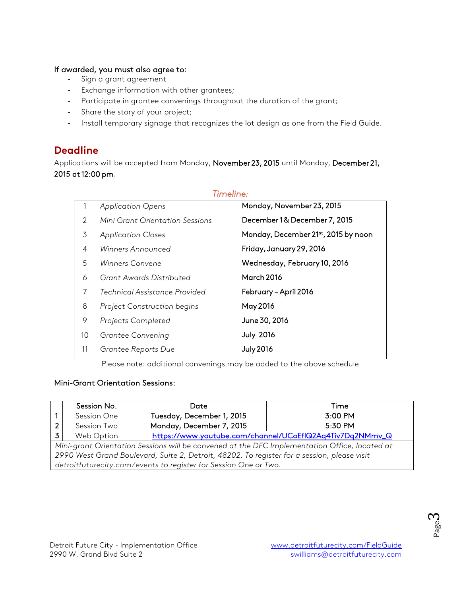#### If awarded, you must also agree to:

- Sign a grant agreement
- Exchange information with other grantees;
- Participate in grantee convenings throughout the duration of the grant;
- Share the story of your project;
- Install temporary signage that recognizes the lot design as one from the Field Guide.

### **Deadline**

Applications will be accepted from Monday, November 23, 2015 until Monday, December 21, 2015 at 12:00 pm.

*Timeline:*

|    | <b>Application Opens</b>        | Monday, November 23, 2015           |
|----|---------------------------------|-------------------------------------|
| 2  | Mini Grant Orientation Sessions | December 1& December 7, 2015        |
| 3  | <b>Application Closes</b>       | Monday, December 21st, 2015 by noon |
| 4  | Winners Announced               | Friday, January 29, 2016            |
| 5  | Winners Convene                 | Wednesday, February 10, 2016        |
| 6  | Grant Awards Distributed        | March 2016                          |
| 7  | Technical Assistance Provided   | February - April 2016               |
| 8  | Project Construction begins     | May 2016                            |
| 9  | Projects Completed              | June 30, 2016                       |
| 10 | Grantee Convening               | <b>July 2016</b>                    |
| 11 | Grantee Reports Due             | <b>July 2016</b>                    |

Please note: additional convenings may be added to the above schedule

#### Mini-Grant Orientation Sessions:

|                                                                                               | Session No. | Date                      | Time                                                     |
|-----------------------------------------------------------------------------------------------|-------------|---------------------------|----------------------------------------------------------|
|                                                                                               | Session One | Tuesday, December 1, 2015 | 3:00 PM                                                  |
| $\overline{2}$                                                                                | Session Two | Monday, December 7, 2015  | 5:30 PM                                                  |
| $\overline{3}$                                                                                | Web Option  |                           | https://www.youtube.com/channel/UCoEflQ2Aq4Tiv7Dq2NMmv_Q |
| Mini-grant Orientation Sessions will be convened at the DFC Implementation Office, located at |             |                           |                                                          |
| 2990 West Grand Boulevard, Suite 2, Detroit, 48202. To register for a session, please visit   |             |                           |                                                          |
| detroitfuturecity.com/events to register for Session One or Two.                              |             |                           |                                                          |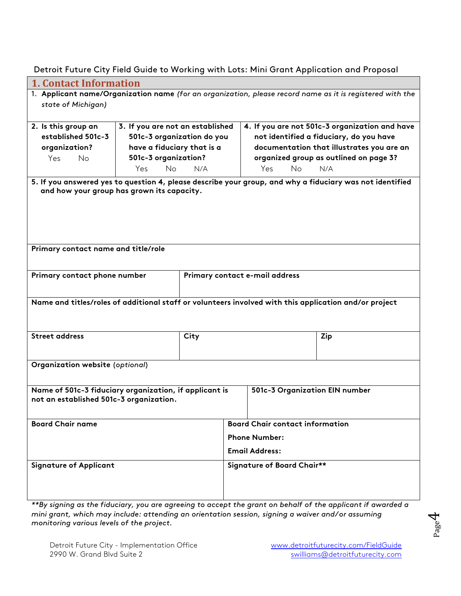Detroit Future City Field Guide to Working with Lots: Mini Grant Application and Proposal

| <b>1. Contact Information</b>                                                                             |                                            |                       |                                                                                                          |  |  |
|-----------------------------------------------------------------------------------------------------------|--------------------------------------------|-----------------------|----------------------------------------------------------------------------------------------------------|--|--|
| 1. Applicant name/Organization name (for an organization, please record name as it is registered with the |                                            |                       |                                                                                                          |  |  |
| state of Michigan)                                                                                        |                                            |                       |                                                                                                          |  |  |
|                                                                                                           |                                            |                       |                                                                                                          |  |  |
| 2. Is this group an                                                                                       | 3. If you are not an established           |                       | 4. If you are not 501c-3 organization and have                                                           |  |  |
| established 501c-3                                                                                        | 501c-3 organization do you                 |                       | not identified a fiduciary, do you have                                                                  |  |  |
| organization?                                                                                             | have a fiduciary that is a                 |                       | documentation that illustrates you are an                                                                |  |  |
| Yes<br><b>No</b>                                                                                          | 501c-3 organization?                       |                       | organized group as outlined on page 3?                                                                   |  |  |
|                                                                                                           | <b>No</b><br>Yes<br>N/A                    |                       | <b>No</b><br>Yes<br>N/A                                                                                  |  |  |
|                                                                                                           |                                            |                       | 5. If you answered yes to question 4, please describe your group, and why a fiduciary was not identified |  |  |
|                                                                                                           | and how your group has grown its capacity. |                       |                                                                                                          |  |  |
|                                                                                                           |                                            |                       |                                                                                                          |  |  |
|                                                                                                           |                                            |                       |                                                                                                          |  |  |
|                                                                                                           |                                            |                       |                                                                                                          |  |  |
|                                                                                                           |                                            |                       |                                                                                                          |  |  |
|                                                                                                           |                                            |                       |                                                                                                          |  |  |
| Primary contact name and title/role                                                                       |                                            |                       |                                                                                                          |  |  |
|                                                                                                           |                                            |                       |                                                                                                          |  |  |
| Primary contact phone number                                                                              |                                            |                       | Primary contact e-mail address                                                                           |  |  |
|                                                                                                           |                                            |                       |                                                                                                          |  |  |
|                                                                                                           |                                            |                       |                                                                                                          |  |  |
|                                                                                                           |                                            |                       | Name and titles/roles of additional staff or volunteers involved with this application and/or project    |  |  |
|                                                                                                           |                                            |                       |                                                                                                          |  |  |
|                                                                                                           |                                            |                       |                                                                                                          |  |  |
| <b>Street address</b>                                                                                     | City                                       |                       | Zip                                                                                                      |  |  |
|                                                                                                           |                                            |                       |                                                                                                          |  |  |
| Organization website (optional)                                                                           |                                            |                       |                                                                                                          |  |  |
|                                                                                                           |                                            |                       |                                                                                                          |  |  |
|                                                                                                           |                                            |                       |                                                                                                          |  |  |
| Name of 501c-3 fiduciary organization, if applicant is<br>501c-3 Organization EIN number                  |                                            |                       |                                                                                                          |  |  |
| not an established 501c-3 organization.                                                                   |                                            |                       |                                                                                                          |  |  |
|                                                                                                           |                                            |                       |                                                                                                          |  |  |
| <b>Board Chair name</b>                                                                                   |                                            |                       | <b>Board Chair contact information</b>                                                                   |  |  |
|                                                                                                           |                                            |                       | <b>Phone Number:</b>                                                                                     |  |  |
|                                                                                                           |                                            | <b>Email Address:</b> |                                                                                                          |  |  |
|                                                                                                           |                                            |                       |                                                                                                          |  |  |
| <b>Signature of Applicant</b>                                                                             |                                            |                       | Signature of Board Chair**                                                                               |  |  |
|                                                                                                           |                                            |                       |                                                                                                          |  |  |
|                                                                                                           |                                            |                       |                                                                                                          |  |  |
|                                                                                                           |                                            |                       |                                                                                                          |  |  |

*\*\*By signing as the fiduciary, you are agreeing to accept the grant on behalf of the applicant if awarded a mini grant, which may include: attending an orientation session, signing a waiver and/or assuming monitoring various levels of the project.*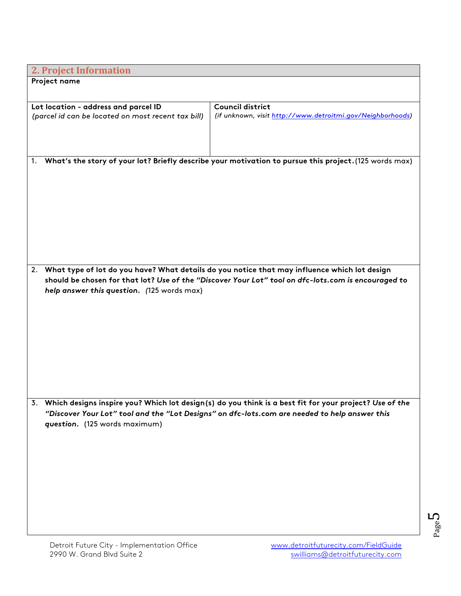| <b>2. Project Information</b>                      |                                                                                                           |
|----------------------------------------------------|-----------------------------------------------------------------------------------------------------------|
| Project name                                       |                                                                                                           |
|                                                    |                                                                                                           |
| Lot location - address and parcel ID               | <b>Council district</b>                                                                                   |
| (parcel id can be located on most recent tax bill) | (if unknown, visit http://www.detroitmi.gov/Neighborhoods)                                                |
|                                                    |                                                                                                           |
|                                                    |                                                                                                           |
|                                                    |                                                                                                           |
| 1.                                                 | What's the story of your lot? Briefly describe your motivation to pursue this project. (125 words max)    |
|                                                    |                                                                                                           |
|                                                    |                                                                                                           |
|                                                    |                                                                                                           |
|                                                    |                                                                                                           |
|                                                    |                                                                                                           |
|                                                    |                                                                                                           |
|                                                    |                                                                                                           |
|                                                    |                                                                                                           |
|                                                    |                                                                                                           |
|                                                    | 2. What type of lot do you have? What details do you notice that may influence which lot design           |
| help answer this question. (125 words max)         | should be chosen for that lot? Use of the "Discover Your Lot" tool on dfc-lots.com is encouraged to       |
|                                                    |                                                                                                           |
|                                                    |                                                                                                           |
|                                                    |                                                                                                           |
|                                                    |                                                                                                           |
|                                                    |                                                                                                           |
|                                                    |                                                                                                           |
|                                                    |                                                                                                           |
|                                                    |                                                                                                           |
|                                                    |                                                                                                           |
|                                                    | 3. Which designs inspire you? Which lot design(s) do you think is a best fit for your project? Use of the |
|                                                    | "Discover Your Lot" tool and the "Lot Designs" on dfc-lots.com are needed to help answer this             |
| question. (125 words maximum)                      |                                                                                                           |
|                                                    |                                                                                                           |
|                                                    |                                                                                                           |
|                                                    |                                                                                                           |
|                                                    |                                                                                                           |
|                                                    |                                                                                                           |
|                                                    |                                                                                                           |
|                                                    |                                                                                                           |
|                                                    |                                                                                                           |
|                                                    |                                                                                                           |
|                                                    |                                                                                                           |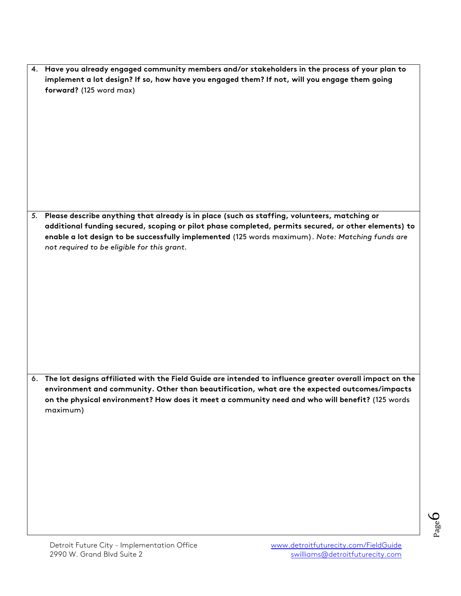| 5. Please describe anything that already is in place (such as staffing, volunteers, matching or<br>additional funding secured, scoping or pilot phase completed, permits secured, or other elements) to<br>enable a lot design to be successfully implemented (125 words maximum). Note: Matching funds are<br>not required to be eligible for this grant. |
|------------------------------------------------------------------------------------------------------------------------------------------------------------------------------------------------------------------------------------------------------------------------------------------------------------------------------------------------------------|
| 6. The lot designs affiliated with the Field Guide are intended to influence greater overall impact on the<br>environment and community. Other than beautification, what are the expected outcomes/impacts<br>on the physical environment? How does it meet a community need and who will benefit? (125 words<br>maximum)                                  |

4. **Have you already engaged community members and/or stakeholders in the process of your plan to implement a lot design? If so, how have you engaged them? If not, will you engage them going**

**forward?** (125 word max)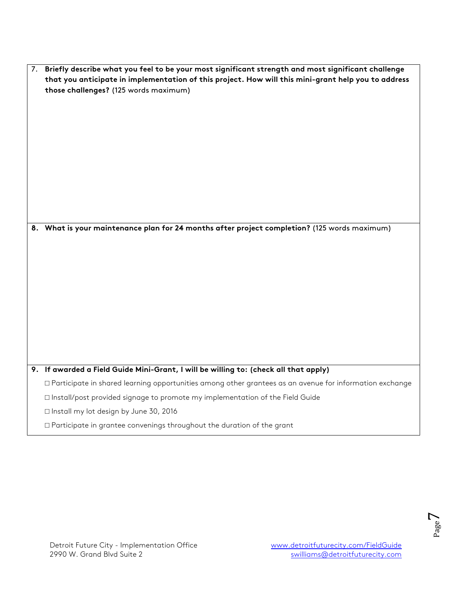| 7. Briefly describe what you feel to be your most significant strength and most significant challenge |  |  |
|-------------------------------------------------------------------------------------------------------|--|--|
| that you anticipate in implementation of this project. How will this mini-grant help you to address   |  |  |
| those challenges? (125 words maximum)                                                                 |  |  |
|                                                                                                       |  |  |
|                                                                                                       |  |  |

**8. What is your maintenance plan for 24 months after project completion?** (125 words maximum)

#### **9. If awarded a Field Guide Mini-Grant, I will be willing to: (check all that apply)**

□ Participate in shared learning opportunities among other grantees as an avenue for information exchange

□ Install/post provided signage to promote my implementation of the Field Guide

□ Install my lot design by June 30, 2016

□ Participate in grantee convenings throughout the duration of the grant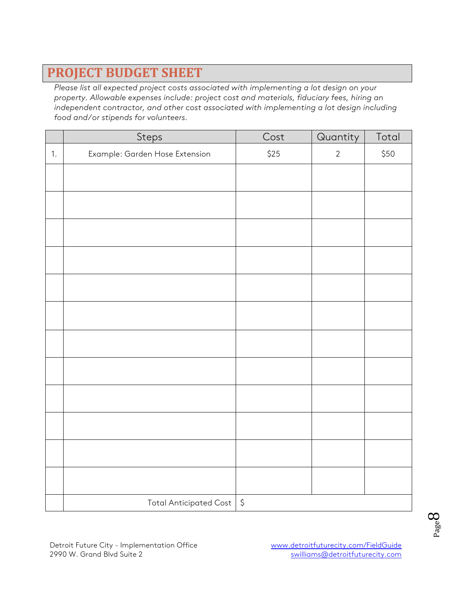# **PROJECT BUDGET SHEET**

*Please list all expected project costs associated with implementing a lot design on your property. Allowable expenses include: project cost and materials, fiduciary fees, hiring an independent contractor, and other cost associated with implementing a lot design including food and/or stipends for volunteers.* 

|      | Steps                          | Cost                 | Quantity   | Total |
|------|--------------------------------|----------------------|------------|-------|
| $1.$ | Example: Garden Hose Extension | $$25$                | $\sqrt{2}$ | \$50  |
|      |                                |                      |            |       |
|      |                                |                      |            |       |
|      |                                |                      |            |       |
|      |                                |                      |            |       |
|      |                                |                      |            |       |
|      |                                |                      |            |       |
|      |                                |                      |            |       |
|      |                                |                      |            |       |
|      |                                |                      |            |       |
|      |                                |                      |            |       |
|      |                                |                      |            |       |
|      |                                |                      |            |       |
|      |                                |                      |            |       |
|      | <b>Total Anticipated Cost</b>  | $\boldsymbol{\zeta}$ |            |       |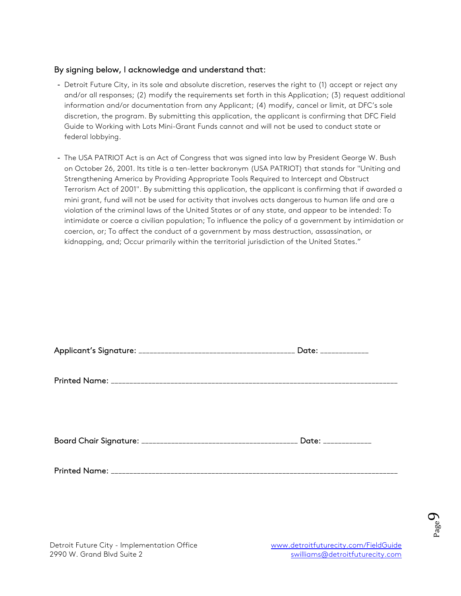#### By signing below, I acknowledge and understand that:

- Detroit Future City, in its sole and absolute discretion, reserves the right to (1) accept or reject any and/or all responses; (2) modify the requirements set forth in this Application; (3) request additional information and/or documentation from any Applicant; (4) modify, cancel or limit, at DFC's sole discretion, the program. By submitting this application, the applicant is confirming that DFC Field Guide to Working with Lots Mini-Grant Funds cannot and will not be used to conduct state or federal lobbying.
- The USA PATRIOT Act is an Act of Congress that was signed into law by President George W. Bush on October 26, 2001. Its title is a ten-letter backronym (USA PATRIOT) that stands for "Uniting and Strengthening America by Providing Appropriate Tools Required to Intercept and Obstruct Terrorism Act of 2001". By submitting this application, the applicant is confirming that if awarded a mini grant, fund will not be used for activity that involves acts dangerous to human life and are a violation of the criminal laws of the United States or of any state, and appear to be intended: To intimidate or coerce a civilian population; To influence the policy of a government by intimidation or coercion, or; To affect the conduct of a government by mass destruction, assassination, or kidnapping, and; Occur primarily within the territorial jurisdiction of the United States."

| Date: _____________ |
|---------------------|
|                     |
|                     |
|                     |